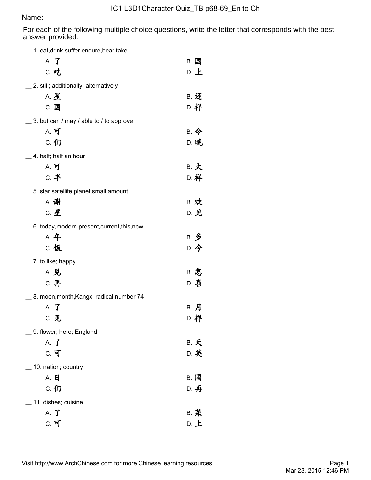## Name:

For each of the following multiple choice questions, write the letter that corresponds with the best answer provided.

| A. <b>了</b><br><b>B. 国</b><br>C. 吃<br>$D.$ $\pm$<br>_ 2. still; additionally; alternatively<br><b>A. 星</b><br><b>B. 还</b><br>D. 样<br>C. 国<br>$\_$ 3. but can / may / able to / to approve<br>B. 今<br>A. 可<br><b>D. 晚</b><br>C. 们<br>$\_$ 4. half; half an hour<br>B. 大<br>A. 可<br><b>C. 半</b><br>D. 样<br>_ 5. star,satellite,planet,small amount<br>A. 谢<br><b>B. 欢</b><br>C. 星<br>D. 见<br>$\_$ 6. today,modern,present,current,this,now<br><b>A. 年</b><br>B. 多<br>D. 今<br>C. 饭<br>$\_$ 7. to like; happy<br><b>B. 怎</b><br>A. 见<br>D. 喜<br>C. 再<br>8. moon, month, Kangxi radical number 74<br>B. 月<br>A. <b>J</b><br>D. 样<br>C. 见<br>9. flower; hero; England<br><b>B. 天</b><br>A. <b>J</b><br>C. 可<br>D. 英<br>10. nation; country<br>A. 日<br>B. 国<br>C. 们<br>D. 再<br>11. dishes; cuisine<br><b>B. 莱</b><br>A. <b>J</b> | 1. eat, drink, suffer, endure, bear, take |      |
|---------------------------------------------------------------------------------------------------------------------------------------------------------------------------------------------------------------------------------------------------------------------------------------------------------------------------------------------------------------------------------------------------------------------------------------------------------------------------------------------------------------------------------------------------------------------------------------------------------------------------------------------------------------------------------------------------------------------------------------------------------------------------------------------------------------------------|-------------------------------------------|------|
|                                                                                                                                                                                                                                                                                                                                                                                                                                                                                                                                                                                                                                                                                                                                                                                                                           |                                           |      |
|                                                                                                                                                                                                                                                                                                                                                                                                                                                                                                                                                                                                                                                                                                                                                                                                                           |                                           |      |
|                                                                                                                                                                                                                                                                                                                                                                                                                                                                                                                                                                                                                                                                                                                                                                                                                           |                                           |      |
|                                                                                                                                                                                                                                                                                                                                                                                                                                                                                                                                                                                                                                                                                                                                                                                                                           |                                           |      |
|                                                                                                                                                                                                                                                                                                                                                                                                                                                                                                                                                                                                                                                                                                                                                                                                                           |                                           |      |
|                                                                                                                                                                                                                                                                                                                                                                                                                                                                                                                                                                                                                                                                                                                                                                                                                           |                                           |      |
|                                                                                                                                                                                                                                                                                                                                                                                                                                                                                                                                                                                                                                                                                                                                                                                                                           |                                           |      |
|                                                                                                                                                                                                                                                                                                                                                                                                                                                                                                                                                                                                                                                                                                                                                                                                                           |                                           |      |
|                                                                                                                                                                                                                                                                                                                                                                                                                                                                                                                                                                                                                                                                                                                                                                                                                           |                                           |      |
|                                                                                                                                                                                                                                                                                                                                                                                                                                                                                                                                                                                                                                                                                                                                                                                                                           |                                           |      |
|                                                                                                                                                                                                                                                                                                                                                                                                                                                                                                                                                                                                                                                                                                                                                                                                                           |                                           |      |
|                                                                                                                                                                                                                                                                                                                                                                                                                                                                                                                                                                                                                                                                                                                                                                                                                           |                                           |      |
|                                                                                                                                                                                                                                                                                                                                                                                                                                                                                                                                                                                                                                                                                                                                                                                                                           |                                           |      |
|                                                                                                                                                                                                                                                                                                                                                                                                                                                                                                                                                                                                                                                                                                                                                                                                                           |                                           |      |
|                                                                                                                                                                                                                                                                                                                                                                                                                                                                                                                                                                                                                                                                                                                                                                                                                           |                                           |      |
|                                                                                                                                                                                                                                                                                                                                                                                                                                                                                                                                                                                                                                                                                                                                                                                                                           |                                           |      |
|                                                                                                                                                                                                                                                                                                                                                                                                                                                                                                                                                                                                                                                                                                                                                                                                                           |                                           |      |
|                                                                                                                                                                                                                                                                                                                                                                                                                                                                                                                                                                                                                                                                                                                                                                                                                           |                                           |      |
|                                                                                                                                                                                                                                                                                                                                                                                                                                                                                                                                                                                                                                                                                                                                                                                                                           |                                           |      |
|                                                                                                                                                                                                                                                                                                                                                                                                                                                                                                                                                                                                                                                                                                                                                                                                                           |                                           |      |
|                                                                                                                                                                                                                                                                                                                                                                                                                                                                                                                                                                                                                                                                                                                                                                                                                           |                                           |      |
|                                                                                                                                                                                                                                                                                                                                                                                                                                                                                                                                                                                                                                                                                                                                                                                                                           |                                           |      |
|                                                                                                                                                                                                                                                                                                                                                                                                                                                                                                                                                                                                                                                                                                                                                                                                                           |                                           |      |
|                                                                                                                                                                                                                                                                                                                                                                                                                                                                                                                                                                                                                                                                                                                                                                                                                           |                                           |      |
|                                                                                                                                                                                                                                                                                                                                                                                                                                                                                                                                                                                                                                                                                                                                                                                                                           |                                           |      |
|                                                                                                                                                                                                                                                                                                                                                                                                                                                                                                                                                                                                                                                                                                                                                                                                                           |                                           |      |
|                                                                                                                                                                                                                                                                                                                                                                                                                                                                                                                                                                                                                                                                                                                                                                                                                           |                                           |      |
|                                                                                                                                                                                                                                                                                                                                                                                                                                                                                                                                                                                                                                                                                                                                                                                                                           |                                           |      |
|                                                                                                                                                                                                                                                                                                                                                                                                                                                                                                                                                                                                                                                                                                                                                                                                                           |                                           |      |
|                                                                                                                                                                                                                                                                                                                                                                                                                                                                                                                                                                                                                                                                                                                                                                                                                           |                                           |      |
|                                                                                                                                                                                                                                                                                                                                                                                                                                                                                                                                                                                                                                                                                                                                                                                                                           |                                           |      |
|                                                                                                                                                                                                                                                                                                                                                                                                                                                                                                                                                                                                                                                                                                                                                                                                                           | C. 可                                      | D. 上 |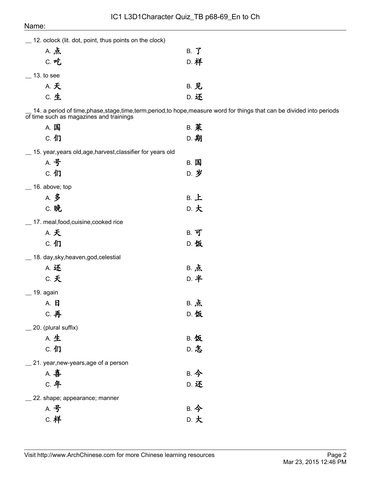| ivame:                                                      |                                                                                                                           |
|-------------------------------------------------------------|---------------------------------------------------------------------------------------------------------------------------|
| 12. oclock (lit. dot, point, thus points on the clock)      |                                                                                                                           |
| A. 点                                                        | B. J                                                                                                                      |
| C. 吃                                                        | D. 样                                                                                                                      |
| $-$ 13. to see                                              |                                                                                                                           |
| A. 天                                                        | <b>B. 见</b>                                                                                                               |
| c. 生                                                        | D. 还                                                                                                                      |
| of time such as magazines and trainings                     | 14. a period of time, phase, stage, time, term, period, to hope, measure word for things that can be divided into periods |
| A. 国                                                        | <b>B. 菜</b>                                                                                                               |
| C. 们                                                        | D. 期                                                                                                                      |
| 15. year, years old, age, harvest, classifier for years old |                                                                                                                           |
| A. 号                                                        | <b>B.</b> 国                                                                                                               |
| C. 们                                                        | D. 岁                                                                                                                      |
| $\_$ 16. above; top                                         |                                                                                                                           |
| A. 多                                                        | $B.$ $L$                                                                                                                  |
| C. 晚                                                        | D. 大                                                                                                                      |
| _ 17. meal, food, cuisine, cooked rice                      |                                                                                                                           |
| A. 天                                                        | $B.$ 可                                                                                                                    |
| C. 们                                                        | D. 饭                                                                                                                      |
| 18. day, sky, heaven, god, celestial                        |                                                                                                                           |
| A. 还                                                        | B. 点                                                                                                                      |
| <b>C. 天</b>                                                 | D. 半                                                                                                                      |
| $\equiv$ 19. again                                          |                                                                                                                           |
| A. 日                                                        | B. 点                                                                                                                      |
| C. 再                                                        | D. 饭                                                                                                                      |
| _ 20. (plural suffix)                                       |                                                                                                                           |
| A. 生                                                        | <b>B. 饭</b>                                                                                                               |
| C. 们                                                        | D. 怎                                                                                                                      |
| _ 21. year, new-years, age of a person                      |                                                                                                                           |
| A. 喜                                                        | B. 今                                                                                                                      |
| <b>C. 年</b>                                                 | D. 还                                                                                                                      |
| 22. shape; appearance; manner                               |                                                                                                                           |
| A. 号                                                        | B. 今                                                                                                                      |
| <b>C.</b> 样                                                 | D. 大                                                                                                                      |